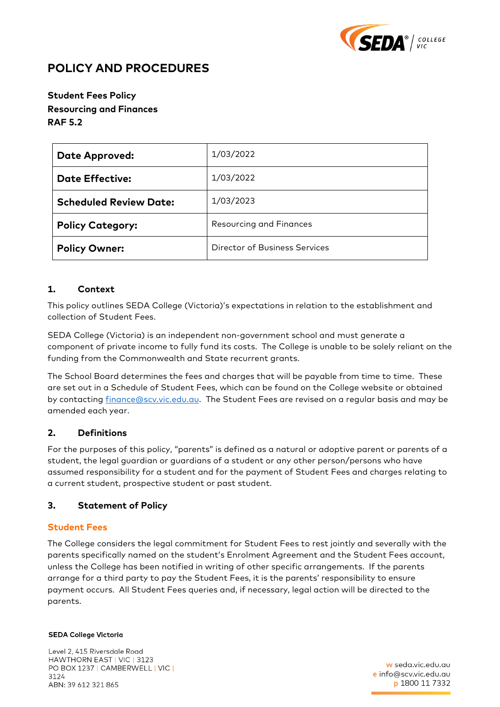

# **POLICY AND PROCEDURES**

# **Student Fees Policy Resourcing and Finances RAF 5.2**

| <b>Date Approved:</b>         | 1/03/2022                            |  |
|-------------------------------|--------------------------------------|--|
| <b>Date Effective:</b>        | 1/03/2022                            |  |
| <b>Scheduled Review Date:</b> | 1/03/2023                            |  |
| <b>Policy Category:</b>       | <b>Resourcing and Finances</b>       |  |
| <b>Policy Owner:</b>          | <b>Director of Business Services</b> |  |

# **1. Context**

This policy outlines SEDA College (Victoria)'s expectations in relation to the establishment and collection of Student Fees.

SEDA College (Victoria) is an independent non-government school and must generate a component of private income to fully fund its costs. The College is unable to be solely reliant on the funding from the Commonwealth and State recurrent grants.

The School Board determines the fees and charges that will be payable from time to time. These are set out in a Schedule of Student Fees, which can be found on the College website or obtained by contacting [finance@scv.vic.edu.au.](mailto:finance@scv.vic.edu.au) The Student Fees are revised on a regular basis and may be amended each year.

# **2. Definitions**

For the purposes of this policy, "parents" is defined as a natural or adoptive parent or parents of a student, the legal guardian or guardians of a student or any other person/persons who have assumed responsibility for a student and for the payment of Student Fees and charges relating to a current student, prospective student or past student.

# **3. Statement of Policy**

### **Student Fees**

The College considers the legal commitment for Student Fees to rest jointly and severally with the parents specifically named on the student's Enrolment Agreement and the Student Fees account, unless the College has been notified in writing of other specific arrangements. If the parents arrange for a third party to pay the Student Fees, it is the parents' responsibility to ensure payment occurs. All Student Fees queries and, if necessary, legal action will be directed to the parents.

#### **SEDA College Victoria**

Level 2, 415 Riversdale Road HAWTHORN EAST | VIC | 3123 PO BOX 1237 | CAMBERWELL | VIC | 3124 ABN: 39 612 321 865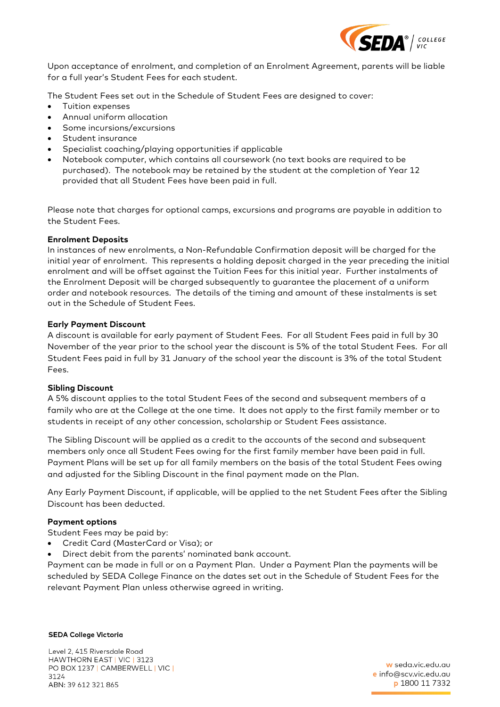

Upon acceptance of enrolment, and completion of an Enrolment Agreement, parents will be liable for a full year's Student Fees for each student.

The Student Fees set out in the Schedule of Student Fees are designed to cover:

- Tuition expenses
- Annual uniform allocation
- Some incursions/excursions
- Student insurance
- Specialist coaching/playing opportunities if applicable
- Notebook computer, which contains all coursework (no text books are required to be purchased). The notebook may be retained by the student at the completion of Year 12 provided that all Student Fees have been paid in full.

Please note that charges for optional camps, excursions and programs are payable in addition to the Student Fees.

#### **Enrolment Deposits**

In instances of new enrolments, a Non-Refundable Confirmation deposit will be charged for the initial year of enrolment. This represents a holding deposit charged in the year preceding the initial enrolment and will be offset against the Tuition Fees for this initial year. Further instalments of the Enrolment Deposit will be charged subsequently to guarantee the placement of a uniform order and notebook resources. The details of the timing and amount of these instalments is set out in the Schedule of Student Fees.

#### **Early Payment Discount**

A discount is available for early payment of Student Fees. For all Student Fees paid in full by 30 November of the year prior to the school year the discount is 5% of the total Student Fees. For all Student Fees paid in full by 31 January of the school year the discount is 3% of the total Student Fees.

#### **Sibling Discount**

A 5% discount applies to the total Student Fees of the second and subsequent members of a family who are at the College at the one time. It does not apply to the first family member or to students in receipt of any other concession, scholarship or Student Fees assistance.

The Sibling Discount will be applied as a credit to the accounts of the second and subsequent members only once all Student Fees owing for the first family member have been paid in full. Payment Plans will be set up for all family members on the basis of the total Student Fees owing and adjusted for the Sibling Discount in the final payment made on the Plan.

Any Early Payment Discount, if applicable, will be applied to the net Student Fees after the Sibling Discount has been deducted.

#### **Payment options**

Student Fees may be paid by:

- Credit Card (MasterCard or Visa); or
- Direct debit from the parents' nominated bank account.

Payment can be made in full or on a Payment Plan. Under a Payment Plan the payments will be scheduled by SEDA College Finance on the dates set out in the Schedule of Student Fees for the relevant Payment Plan unless otherwise agreed in writing.

#### **SEDA College Victoria**

Level 2, 415 Riversdale Road HAWTHORN EAST | VIC | 3123 PO BOX 1237 | CAMBERWELL | VIC | 3124 ABN: 39 612 321 865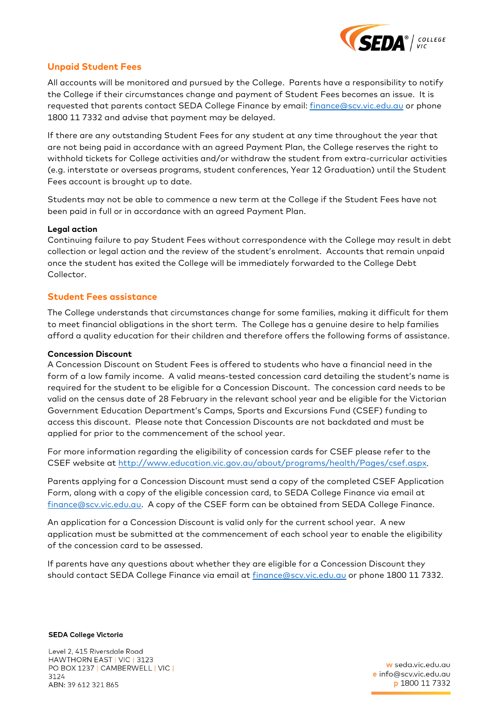

# **Unpaid Student Fees**

All accounts will be monitored and pursued by the College. Parents have a responsibility to notify the College if their circumstances change and payment of Student Fees becomes an issue. It is requested that parents contact SEDA College Finance by email: [finance@scv.vic.edu.au](mailto:finance@scv.vic.edu.au) or phone 1800 11 7332 and advise that payment may be delayed.

If there are any outstanding Student Fees for any student at any time throughout the year that are not being paid in accordance with an agreed Payment Plan, the College reserves the right to withhold tickets for College activities and/or withdraw the student from extra-curricular activities (e.g. interstate or overseas programs, student conferences, Year 12 Graduation) until the Student Fees account is brought up to date.

Students may not be able to commence a new term at the College if the Student Fees have not been paid in full or in accordance with an agreed Payment Plan.

### **Legal action**

Continuing failure to pay Student Fees without correspondence with the College may result in debt collection or legal action and the review of the student's enrolment. Accounts that remain unpaid once the student has exited the College will be immediately forwarded to the College Debt Collector.

### **Student Fees assistance**

The College understands that circumstances change for some families, making it difficult for them to meet financial obligations in the short term. The College has a genuine desire to help families afford a quality education for their children and therefore offers the following forms of assistance.

#### **Concession Discount**

A Concession Discount on Student Fees is offered to students who have a financial need in the form of a low family income. A valid means-tested concession card detailing the student's name is required for the student to be eligible for a Concession Discount. The concession card needs to be valid on the census date of 28 February in the relevant school year and be eligible for the Victorian Government Education Department's Camps, Sports and Excursions Fund (CSEF) funding to access this discount. Please note that Concession Discounts are not backdated and must be applied for prior to the commencement of the school year.

For more information regarding the eligibility of concession cards for CSEF please refer to the CSEF website at [http://www.education.vic.gov.au/about/programs/health/Pages/csef.aspx.](http://www.education.vic.gov.au/about/programs/health/Pages/csef.aspx)

Parents applying for a Concession Discount must send a copy of the completed CSEF Application Form, along with a copy of the eligible concession card, to SEDA College Finance via email at [finance@scv.vic.edu.au.](mailto:finance@scv.vic.edu.au) A copy of the CSEF form can be obtained from SEDA College Finance.

An application for a Concession Discount is valid only for the current school year. A new application must be submitted at the commencement of each school year to enable the eligibility of the concession card to be assessed.

If parents have any questions about whether they are eligible for a Concession Discount they should contact SEDA College Finance via email at [finance@scv.vic.edu.au](mailto:finance@scv.vic.edu.au) or phone 1800 11 7332.

**SEDA College Victoria** 

Level 2, 415 Riversdale Road HAWTHORN EAST | VIC | 3123 PO BOX 1237 | CAMBERWELL | VIC | 3124 ABN: 39 612 321 865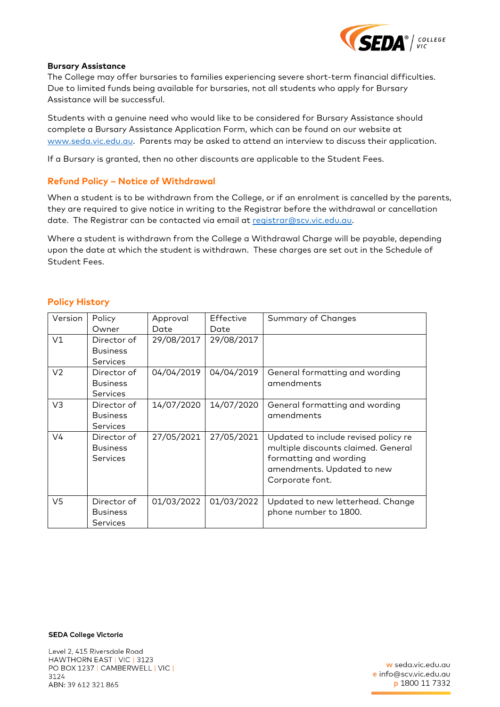

#### **Bursary Assistance**

The College may offer bursaries to families experiencing severe short-term financial difficulties. Due to limited funds being available for bursaries, not all students who apply for Bursary Assistance will be successful.

Students with a genuine need who would like to be considered for Bursary Assistance should complete a Bursary Assistance Application Form, which can be found on our website at [www.seda.vic.edu.au.](http://www.seda.vic.edu.au/) Parents may be asked to attend an interview to discuss their application.

If a Bursary is granted, then no other discounts are applicable to the Student Fees.

### **Refund Policy – Notice of Withdrawal**

When a student is to be withdrawn from the College, or if an enrolment is cancelled by the parents, they are required to give notice in writing to the Registrar before the withdrawal or cancellation date. The Registrar can be contacted via email at [registrar@scv.vic.edu.au.](mailto:registrar@scv.vic.edu.au)

Where a student is withdrawn from the College a Withdrawal Charge will be payable, depending upon the date at which the student is withdrawn. These charges are set out in the Schedule of Student Fees.

| Version        | Policy          | Approval   | Effective  | Summary of Changes                   |
|----------------|-----------------|------------|------------|--------------------------------------|
|                | Owner           | Date       | Date       |                                      |
| V1             | Director of     | 29/08/2017 | 29/08/2017 |                                      |
|                | <b>Business</b> |            |            |                                      |
|                | <b>Services</b> |            |            |                                      |
| V <sub>2</sub> | Director of     | 04/04/2019 | 04/04/2019 | General formatting and wording       |
|                | <b>Business</b> |            |            | amendments                           |
|                | <b>Services</b> |            |            |                                      |
| V3             | Director of     | 14/07/2020 | 14/07/2020 | General formatting and wording       |
|                | <b>Business</b> |            |            | amendments                           |
|                | <b>Services</b> |            |            |                                      |
| V4             | Director of     | 27/05/2021 | 27/05/2021 | Updated to include revised policy re |
|                | <b>Business</b> |            |            | multiple discounts claimed. General  |
|                | <b>Services</b> |            |            | formatting and wording               |
|                |                 |            |            | amendments. Updated to new           |
|                |                 |            |            | Corporate font.                      |
|                |                 |            |            |                                      |
| V5             | Director of     | 01/03/2022 | 01/03/2022 | Updated to new letterhead. Change    |
|                | <b>Business</b> |            |            | phone number to 1800.                |
|                | <b>Services</b> |            |            |                                      |

### **Policy History**

**SEDA College Victoria** 

Level 2, 415 Riversdale Road HAWTHORN EAST | VIC | 3123 PO BOX 1237 | CAMBERWELL | VIC | 3124 ABN: 39 612 321 865